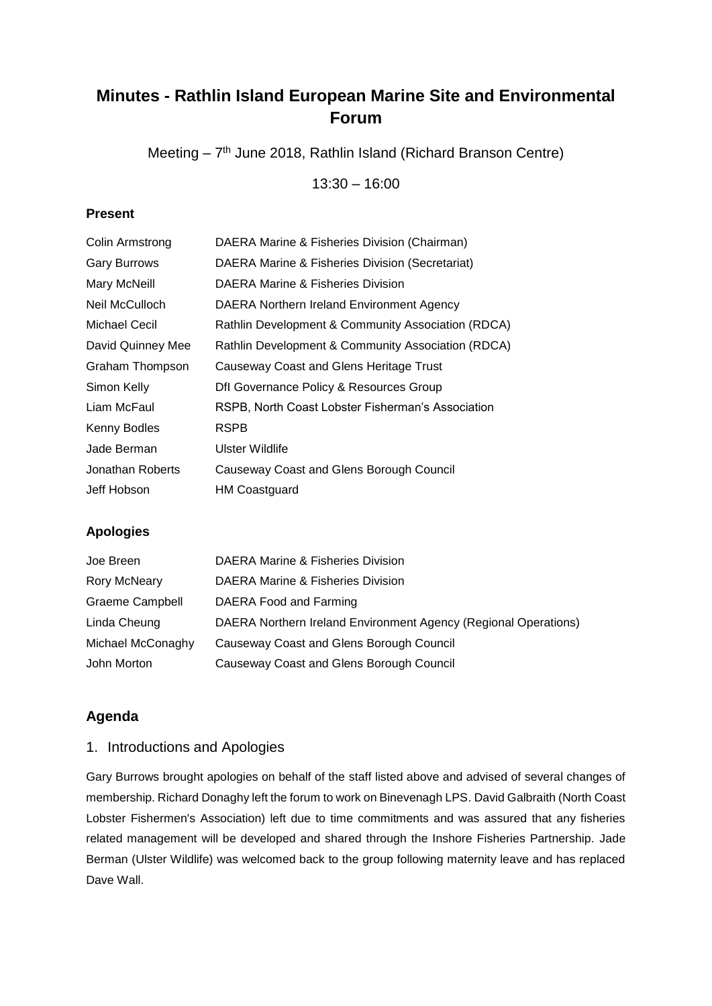# **Minutes - Rathlin Island European Marine Site and Environmental Forum**

Meeting - 7<sup>th</sup> June 2018, Rathlin Island (Richard Branson Centre)

13:30 – 16:00

#### **Present**

| Colin Armstrong     | DAERA Marine & Fisheries Division (Chairman)       |
|---------------------|----------------------------------------------------|
| <b>Gary Burrows</b> | DAERA Marine & Fisheries Division (Secretariat)    |
| Mary McNeill        | DAERA Marine & Fisheries Division                  |
| Neil McCulloch      | DAERA Northern Ireland Environment Agency          |
| Michael Cecil       | Rathlin Development & Community Association (RDCA) |
| David Quinney Mee   | Rathlin Development & Community Association (RDCA) |
| Graham Thompson     | Causeway Coast and Glens Heritage Trust            |
| Simon Kelly         | Dfl Governance Policy & Resources Group            |
| Liam McFaul         | RSPB, North Coast Lobster Fisherman's Association  |
| Kenny Bodles        | RSPB                                               |
| Jade Berman         | Ulster Wildlife                                    |
| Jonathan Roberts    | Causeway Coast and Glens Borough Council           |
| Jeff Hobson         | <b>HM Coastguard</b>                               |

## **Apologies**

| Joe Breen              | DAERA Marine & Fisheries Division                               |
|------------------------|-----------------------------------------------------------------|
| Rory McNeary           | DAERA Marine & Fisheries Division                               |
| <b>Graeme Campbell</b> | DAERA Food and Farming                                          |
| Linda Cheung           | DAERA Northern Ireland Environment Agency (Regional Operations) |
| Michael McConaghy      | Causeway Coast and Glens Borough Council                        |
| John Morton            | Causeway Coast and Glens Borough Council                        |

## **Agenda**

#### 1. Introductions and Apologies

Gary Burrows brought apologies on behalf of the staff listed above and advised of several changes of membership. Richard Donaghy left the forum to work on Binevenagh LPS. David Galbraith (North Coast Lobster Fishermen's Association) left due to time commitments and was assured that any fisheries related management will be developed and shared through the Inshore Fisheries Partnership. Jade Berman (Ulster Wildlife) was welcomed back to the group following maternity leave and has replaced Dave Wall.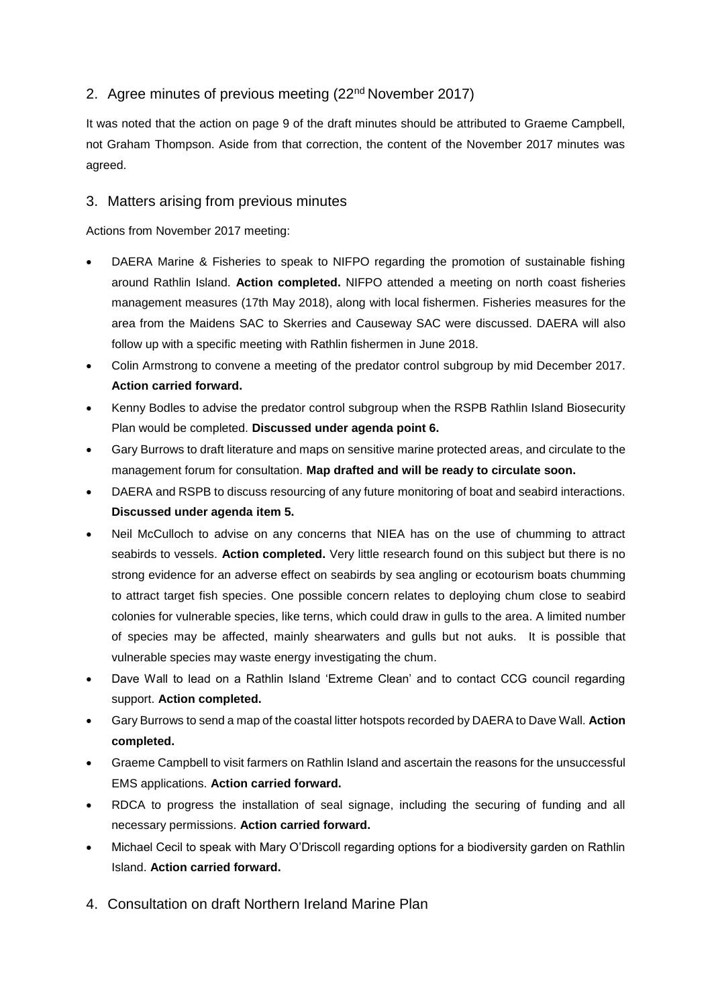# 2. Agree minutes of previous meeting (22<sup>nd</sup> November 2017)

It was noted that the action on page 9 of the draft minutes should be attributed to Graeme Campbell, not Graham Thompson. Aside from that correction, the content of the November 2017 minutes was agreed.

#### 3. Matters arising from previous minutes

Actions from November 2017 meeting:

- DAERA Marine & Fisheries to speak to NIFPO regarding the promotion of sustainable fishing around Rathlin Island. **Action completed.** NIFPO attended a meeting on north coast fisheries management measures (17th May 2018), along with local fishermen. Fisheries measures for the area from the Maidens SAC to Skerries and Causeway SAC were discussed. DAERA will also follow up with a specific meeting with Rathlin fishermen in June 2018.
- Colin Armstrong to convene a meeting of the predator control subgroup by mid December 2017. **Action carried forward.**
- Kenny Bodles to advise the predator control subgroup when the RSPB Rathlin Island Biosecurity Plan would be completed. **Discussed under agenda point 6.**
- Gary Burrows to draft literature and maps on sensitive marine protected areas, and circulate to the management forum for consultation. **Map drafted and will be ready to circulate soon.**
- DAERA and RSPB to discuss resourcing of any future monitoring of boat and seabird interactions. **Discussed under agenda item 5.**
- Neil McCulloch to advise on any concerns that NIEA has on the use of chumming to attract seabirds to vessels. **Action completed.** Very little research found on this subject but there is no strong evidence for an adverse effect on seabirds by sea angling or ecotourism boats chumming to attract target fish species. One possible concern relates to deploying chum close to seabird colonies for vulnerable species, like terns, which could draw in gulls to the area. A limited number of species may be affected, mainly shearwaters and gulls but not auks. It is possible that vulnerable species may waste energy investigating the chum.
- Dave Wall to lead on a Rathlin Island 'Extreme Clean' and to contact CCG council regarding support. **Action completed.**
- Gary Burrows to send a map of the coastal litter hotspots recorded by DAERA to Dave Wall. **Action completed.**
- Graeme Campbell to visit farmers on Rathlin Island and ascertain the reasons for the unsuccessful EMS applications. **Action carried forward.**
- RDCA to progress the installation of seal signage, including the securing of funding and all necessary permissions. **Action carried forward.**
- Michael Cecil to speak with Mary O'Driscoll regarding options for a biodiversity garden on Rathlin Island. **Action carried forward.**
- 4. Consultation on draft Northern Ireland Marine Plan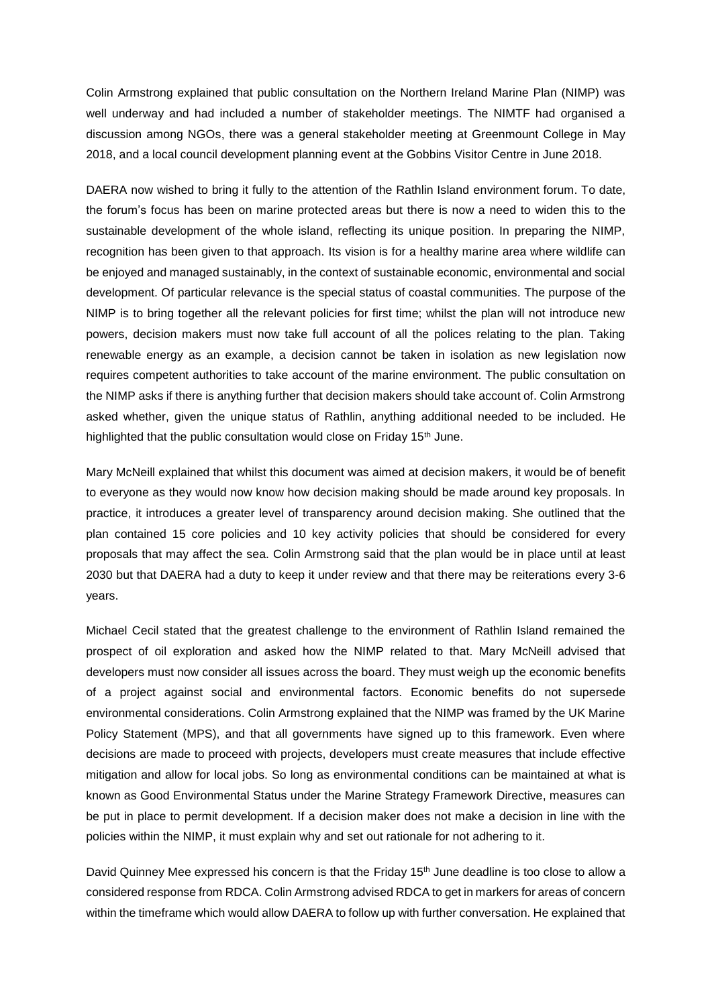Colin Armstrong explained that public consultation on the Northern Ireland Marine Plan (NIMP) was well underway and had included a number of stakeholder meetings. The NIMTF had organised a discussion among NGOs, there was a general stakeholder meeting at Greenmount College in May 2018, and a local council development planning event at the Gobbins Visitor Centre in June 2018.

DAERA now wished to bring it fully to the attention of the Rathlin Island environment forum. To date, the forum's focus has been on marine protected areas but there is now a need to widen this to the sustainable development of the whole island, reflecting its unique position. In preparing the NIMP, recognition has been given to that approach. Its vision is for a healthy marine area where wildlife can be enjoyed and managed sustainably, in the context of sustainable economic, environmental and social development. Of particular relevance is the special status of coastal communities. The purpose of the NIMP is to bring together all the relevant policies for first time; whilst the plan will not introduce new powers, decision makers must now take full account of all the polices relating to the plan. Taking renewable energy as an example, a decision cannot be taken in isolation as new legislation now requires competent authorities to take account of the marine environment. The public consultation on the NIMP asks if there is anything further that decision makers should take account of. Colin Armstrong asked whether, given the unique status of Rathlin, anything additional needed to be included. He highlighted that the public consultation would close on Friday 15<sup>th</sup> June.

Mary McNeill explained that whilst this document was aimed at decision makers, it would be of benefit to everyone as they would now know how decision making should be made around key proposals. In practice, it introduces a greater level of transparency around decision making. She outlined that the plan contained 15 core policies and 10 key activity policies that should be considered for every proposals that may affect the sea. Colin Armstrong said that the plan would be in place until at least 2030 but that DAERA had a duty to keep it under review and that there may be reiterations every 3-6 years.

Michael Cecil stated that the greatest challenge to the environment of Rathlin Island remained the prospect of oil exploration and asked how the NIMP related to that. Mary McNeill advised that developers must now consider all issues across the board. They must weigh up the economic benefits of a project against social and environmental factors. Economic benefits do not supersede environmental considerations. Colin Armstrong explained that the NIMP was framed by the UK Marine Policy Statement (MPS), and that all governments have signed up to this framework. Even where decisions are made to proceed with projects, developers must create measures that include effective mitigation and allow for local jobs. So long as environmental conditions can be maintained at what is known as Good Environmental Status under the Marine Strategy Framework Directive, measures can be put in place to permit development. If a decision maker does not make a decision in line with the policies within the NIMP, it must explain why and set out rationale for not adhering to it.

David Quinney Mee expressed his concern is that the Friday 15<sup>th</sup> June deadline is too close to allow a considered response from RDCA. Colin Armstrong advised RDCA to get in markers for areas of concern within the timeframe which would allow DAERA to follow up with further conversation. He explained that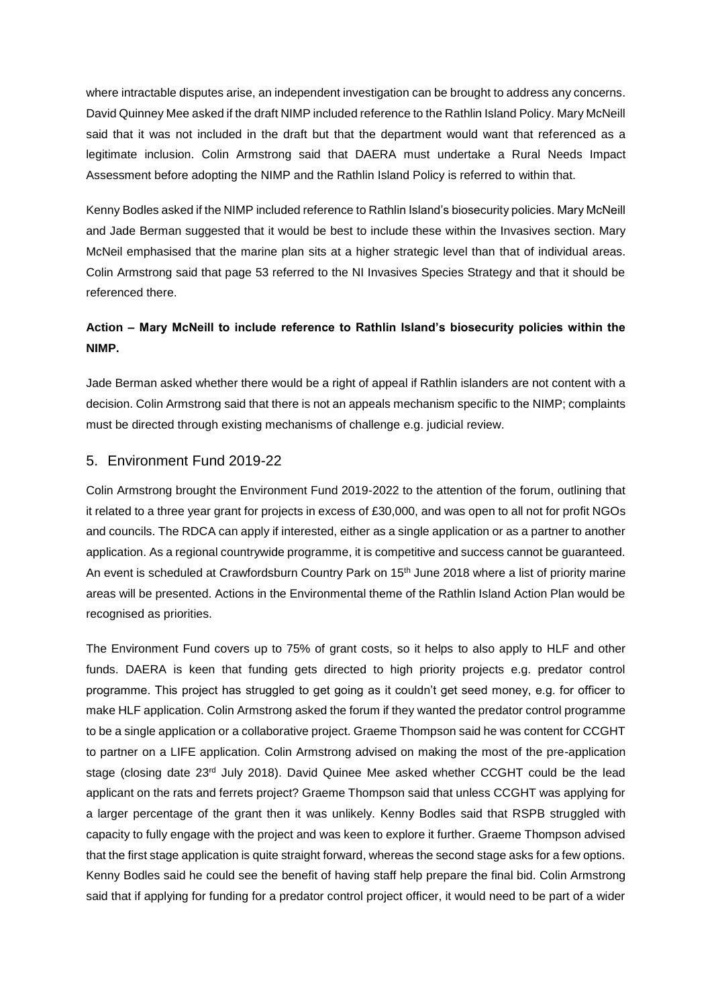where intractable disputes arise, an independent investigation can be brought to address any concerns. David Quinney Mee asked if the draft NIMP included reference to the Rathlin Island Policy. Mary McNeill said that it was not included in the draft but that the department would want that referenced as a legitimate inclusion. Colin Armstrong said that DAERA must undertake a Rural Needs Impact Assessment before adopting the NIMP and the Rathlin Island Policy is referred to within that.

Kenny Bodles asked if the NIMP included reference to Rathlin Island's biosecurity policies. Mary McNeill and Jade Berman suggested that it would be best to include these within the Invasives section. Mary McNeil emphasised that the marine plan sits at a higher strategic level than that of individual areas. Colin Armstrong said that page 53 referred to the NI Invasives Species Strategy and that it should be referenced there.

# **Action – Mary McNeill to include reference to Rathlin Island's biosecurity policies within the NIMP.**

Jade Berman asked whether there would be a right of appeal if Rathlin islanders are not content with a decision. Colin Armstrong said that there is not an appeals mechanism specific to the NIMP; complaints must be directed through existing mechanisms of challenge e.g. judicial review.

#### 5. Environment Fund 2019-22

Colin Armstrong brought the Environment Fund 2019-2022 to the attention of the forum, outlining that it related to a three year grant for projects in excess of £30,000, and was open to all not for profit NGOs and councils. The RDCA can apply if interested, either as a single application or as a partner to another application. As a regional countrywide programme, it is competitive and success cannot be guaranteed. An event is scheduled at Crawfordsburn Country Park on 15<sup>th</sup> June 2018 where a list of priority marine areas will be presented. Actions in the Environmental theme of the Rathlin Island Action Plan would be recognised as priorities.

The Environment Fund covers up to 75% of grant costs, so it helps to also apply to HLF and other funds. DAERA is keen that funding gets directed to high priority projects e.g. predator control programme. This project has struggled to get going as it couldn't get seed money, e.g. for officer to make HLF application. Colin Armstrong asked the forum if they wanted the predator control programme to be a single application or a collaborative project. Graeme Thompson said he was content for CCGHT to partner on a LIFE application. Colin Armstrong advised on making the most of the pre-application stage (closing date 23rd July 2018). David Quinee Mee asked whether CCGHT could be the lead applicant on the rats and ferrets project? Graeme Thompson said that unless CCGHT was applying for a larger percentage of the grant then it was unlikely. Kenny Bodles said that RSPB struggled with capacity to fully engage with the project and was keen to explore it further. Graeme Thompson advised that the first stage application is quite straight forward, whereas the second stage asks for a few options. Kenny Bodles said he could see the benefit of having staff help prepare the final bid. Colin Armstrong said that if applying for funding for a predator control project officer, it would need to be part of a wider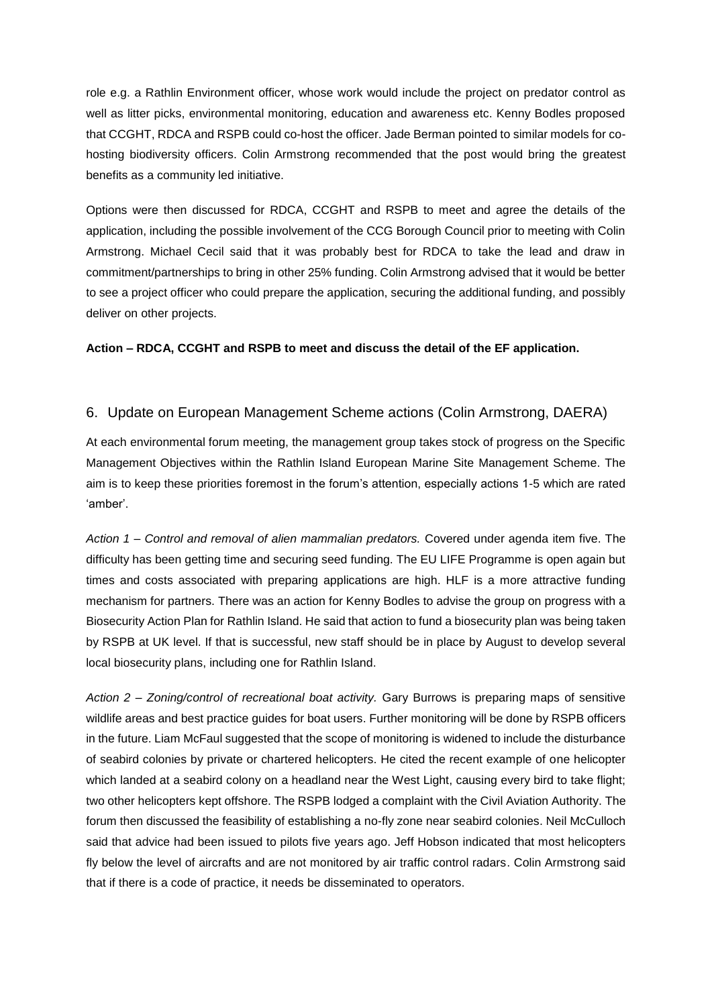role e.g. a Rathlin Environment officer, whose work would include the project on predator control as well as litter picks, environmental monitoring, education and awareness etc. Kenny Bodles proposed that CCGHT, RDCA and RSPB could co-host the officer. Jade Berman pointed to similar models for cohosting biodiversity officers. Colin Armstrong recommended that the post would bring the greatest benefits as a community led initiative.

Options were then discussed for RDCA, CCGHT and RSPB to meet and agree the details of the application, including the possible involvement of the CCG Borough Council prior to meeting with Colin Armstrong. Michael Cecil said that it was probably best for RDCA to take the lead and draw in commitment/partnerships to bring in other 25% funding. Colin Armstrong advised that it would be better to see a project officer who could prepare the application, securing the additional funding, and possibly deliver on other projects.

**Action – RDCA, CCGHT and RSPB to meet and discuss the detail of the EF application.**

## 6. Update on European Management Scheme actions (Colin Armstrong, DAERA)

At each environmental forum meeting, the management group takes stock of progress on the Specific Management Objectives within the Rathlin Island European Marine Site Management Scheme. The aim is to keep these priorities foremost in the forum's attention, especially actions 1-5 which are rated 'amber'.

*Action 1 – Control and removal of alien mammalian predators.* Covered under agenda item five. The difficulty has been getting time and securing seed funding. The EU LIFE Programme is open again but times and costs associated with preparing applications are high. HLF is a more attractive funding mechanism for partners. There was an action for Kenny Bodles to advise the group on progress with a Biosecurity Action Plan for Rathlin Island. He said that action to fund a biosecurity plan was being taken by RSPB at UK level. If that is successful, new staff should be in place by August to develop several local biosecurity plans, including one for Rathlin Island.

*Action 2 – Zoning/control of recreational boat activity.* Gary Burrows is preparing maps of sensitive wildlife areas and best practice guides for boat users. Further monitoring will be done by RSPB officers in the future. Liam McFaul suggested that the scope of monitoring is widened to include the disturbance of seabird colonies by private or chartered helicopters. He cited the recent example of one helicopter which landed at a seabird colony on a headland near the West Light, causing every bird to take flight; two other helicopters kept offshore. The RSPB lodged a complaint with the Civil Aviation Authority. The forum then discussed the feasibility of establishing a no-fly zone near seabird colonies. Neil McCulloch said that advice had been issued to pilots five years ago. Jeff Hobson indicated that most helicopters fly below the level of aircrafts and are not monitored by air traffic control radars. Colin Armstrong said that if there is a code of practice, it needs be disseminated to operators.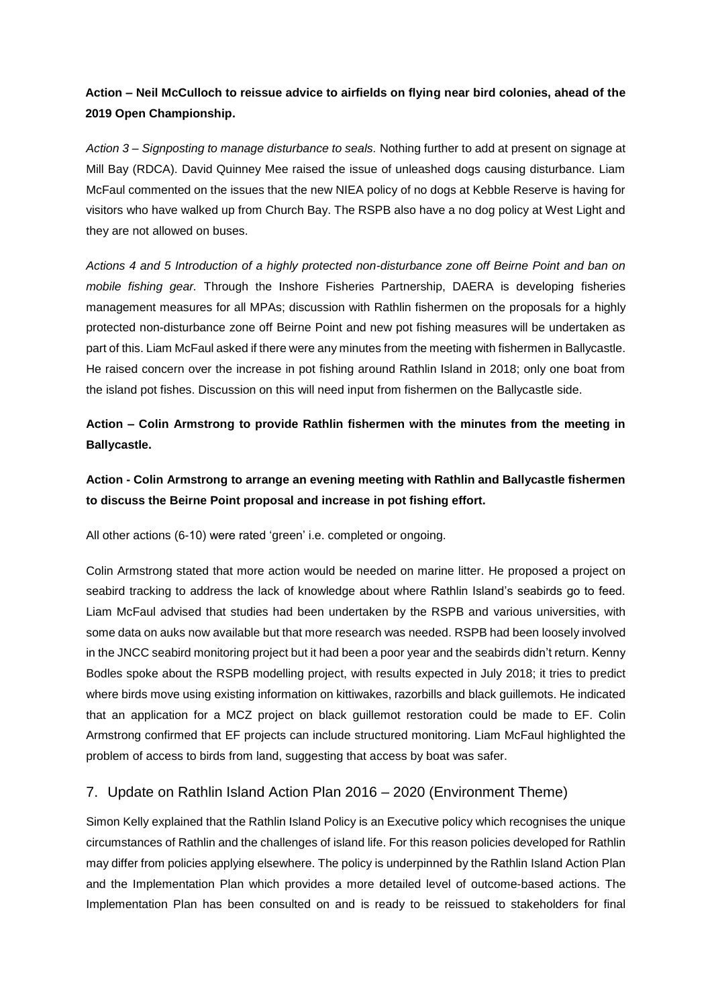# **Action – Neil McCulloch to reissue advice to airfields on flying near bird colonies, ahead of the 2019 Open Championship.**

*Action 3 – Signposting to manage disturbance to seals.* Nothing further to add at present on signage at Mill Bay (RDCA). David Quinney Mee raised the issue of unleashed dogs causing disturbance. Liam McFaul commented on the issues that the new NIEA policy of no dogs at Kebble Reserve is having for visitors who have walked up from Church Bay. The RSPB also have a no dog policy at West Light and they are not allowed on buses.

*Actions 4 and 5 Introduction of a highly protected non-disturbance zone off Beirne Point and ban on mobile fishing gear.* Through the Inshore Fisheries Partnership, DAERA is developing fisheries management measures for all MPAs; discussion with Rathlin fishermen on the proposals for a highly protected non-disturbance zone off Beirne Point and new pot fishing measures will be undertaken as part of this. Liam McFaul asked if there were any minutes from the meeting with fishermen in Ballycastle. He raised concern over the increase in pot fishing around Rathlin Island in 2018; only one boat from the island pot fishes. Discussion on this will need input from fishermen on the Ballycastle side.

# **Action – Colin Armstrong to provide Rathlin fishermen with the minutes from the meeting in Ballycastle.**

**Action - Colin Armstrong to arrange an evening meeting with Rathlin and Ballycastle fishermen to discuss the Beirne Point proposal and increase in pot fishing effort.**

All other actions (6-10) were rated 'green' i.e. completed or ongoing.

Colin Armstrong stated that more action would be needed on marine litter. He proposed a project on seabird tracking to address the lack of knowledge about where Rathlin Island's seabirds go to feed. Liam McFaul advised that studies had been undertaken by the RSPB and various universities, with some data on auks now available but that more research was needed. RSPB had been loosely involved in the JNCC seabird monitoring project but it had been a poor year and the seabirds didn't return. Kenny Bodles spoke about the RSPB modelling project, with results expected in July 2018; it tries to predict where birds move using existing information on kittiwakes, razorbills and black guillemots. He indicated that an application for a MCZ project on black guillemot restoration could be made to EF. Colin Armstrong confirmed that EF projects can include structured monitoring. Liam McFaul highlighted the problem of access to birds from land, suggesting that access by boat was safer.

## 7. Update on Rathlin Island Action Plan 2016 – 2020 (Environment Theme)

Simon Kelly explained that the Rathlin Island Policy is an Executive policy which recognises the unique circumstances of Rathlin and the challenges of island life. For this reason policies developed for Rathlin may differ from policies applying elsewhere. The policy is underpinned by the Rathlin Island Action Plan and the Implementation Plan which provides a more detailed level of outcome-based actions. The Implementation Plan has been consulted on and is ready to be reissued to stakeholders for final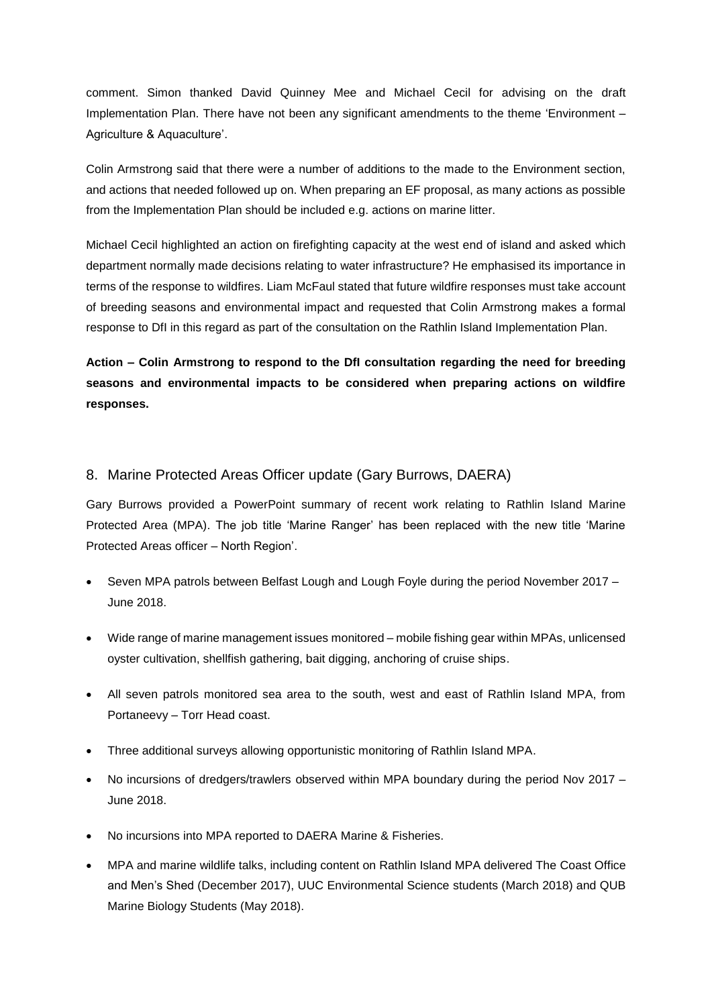comment. Simon thanked David Quinney Mee and Michael Cecil for advising on the draft Implementation Plan. There have not been any significant amendments to the theme 'Environment – Agriculture & Aquaculture'.

Colin Armstrong said that there were a number of additions to the made to the Environment section, and actions that needed followed up on. When preparing an EF proposal, as many actions as possible from the Implementation Plan should be included e.g. actions on marine litter.

Michael Cecil highlighted an action on firefighting capacity at the west end of island and asked which department normally made decisions relating to water infrastructure? He emphasised its importance in terms of the response to wildfires. Liam McFaul stated that future wildfire responses must take account of breeding seasons and environmental impact and requested that Colin Armstrong makes a formal response to DfI in this regard as part of the consultation on the Rathlin Island Implementation Plan.

**Action – Colin Armstrong to respond to the DfI consultation regarding the need for breeding seasons and environmental impacts to be considered when preparing actions on wildfire responses.**

## 8. Marine Protected Areas Officer update (Gary Burrows, DAERA)

Gary Burrows provided a PowerPoint summary of recent work relating to Rathlin Island Marine Protected Area (MPA). The job title 'Marine Ranger' has been replaced with the new title 'Marine Protected Areas officer – North Region'.

- Seven MPA patrols between Belfast Lough and Lough Foyle during the period November 2017 June 2018.
- Wide range of marine management issues monitored mobile fishing gear within MPAs, unlicensed oyster cultivation, shellfish gathering, bait digging, anchoring of cruise ships.
- All seven patrols monitored sea area to the south, west and east of Rathlin Island MPA, from Portaneevy – Torr Head coast.
- Three additional surveys allowing opportunistic monitoring of Rathlin Island MPA.
- No incursions of dredgers/trawlers observed within MPA boundary during the period Nov 2017 June 2018.
- No incursions into MPA reported to DAERA Marine & Fisheries.
- MPA and marine wildlife talks, including content on Rathlin Island MPA delivered The Coast Office and Men's Shed (December 2017), UUC Environmental Science students (March 2018) and QUB Marine Biology Students (May 2018).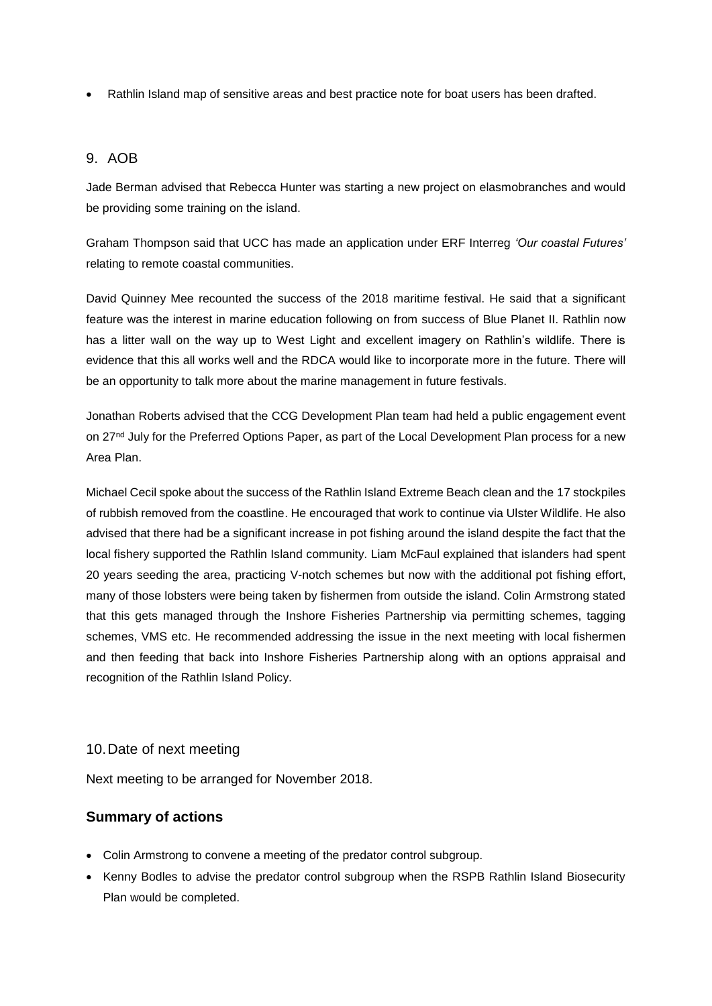Rathlin Island map of sensitive areas and best practice note for boat users has been drafted.

#### 9. AOB

Jade Berman advised that Rebecca Hunter was starting a new project on elasmobranches and would be providing some training on the island.

Graham Thompson said that UCC has made an application under ERF Interreg *'Our coastal Futures'* relating to remote coastal communities.

David Quinney Mee recounted the success of the 2018 maritime festival. He said that a significant feature was the interest in marine education following on from success of Blue Planet II. Rathlin now has a litter wall on the way up to West Light and excellent imagery on Rathlin's wildlife. There is evidence that this all works well and the RDCA would like to incorporate more in the future. There will be an opportunity to talk more about the marine management in future festivals.

Jonathan Roberts advised that the CCG Development Plan team had held a public engagement event on 27<sup>nd</sup> July for the Preferred Options Paper, as part of the Local Development Plan process for a new Area Plan.

Michael Cecil spoke about the success of the Rathlin Island Extreme Beach clean and the 17 stockpiles of rubbish removed from the coastline. He encouraged that work to continue via Ulster Wildlife. He also advised that there had be a significant increase in pot fishing around the island despite the fact that the local fishery supported the Rathlin Island community. Liam McFaul explained that islanders had spent 20 years seeding the area, practicing V-notch schemes but now with the additional pot fishing effort, many of those lobsters were being taken by fishermen from outside the island. Colin Armstrong stated that this gets managed through the Inshore Fisheries Partnership via permitting schemes, tagging schemes, VMS etc. He recommended addressing the issue in the next meeting with local fishermen and then feeding that back into Inshore Fisheries Partnership along with an options appraisal and recognition of the Rathlin Island Policy.

#### 10.Date of next meeting

Next meeting to be arranged for November 2018.

## **Summary of actions**

- Colin Armstrong to convene a meeting of the predator control subgroup.
- Kenny Bodles to advise the predator control subgroup when the RSPB Rathlin Island Biosecurity Plan would be completed.